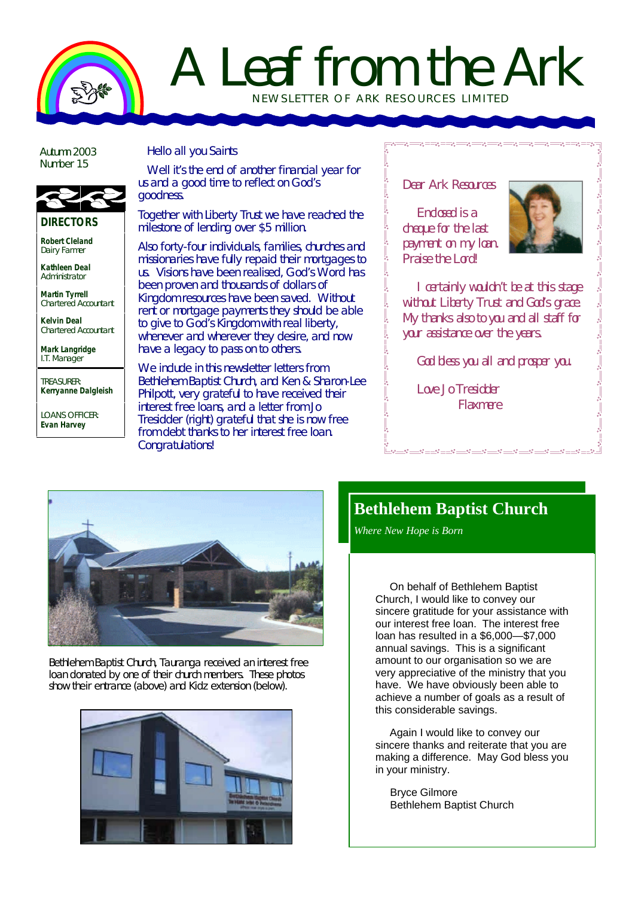

# A Leaf from the Ark NEWSLETTER OF ARK RESOURCES LIMITED

!。  $\frac{1}{20}$ 

 $\frac{1}{2}$  $\frac{1}{\sqrt{2}}$ 

Autumn 2003 Number 15



**DIRECTORS Robert Cleland**

Dairy Farmer **Kathleen Deal** Administrator

**Martin Tyrrell** Chartered Accountant

**Kelvin Deal** Chartered Accountant

**Mark Langridge** I.T. Manager

TREASURER: **Kerryanne Dalgleish**

LOANS OFFICER: **Evan Harvey**

#### Hello all you Saints

Well it's the end of another financial year for us and a good time to reflect on God's goodness.

Together with Liberty Trust we have reached the milestone of lending over \$5 million.

Also forty-four individuals, families, churches and missionaries have fully repaid their mortgages to us. Visions have been realised, God's Word has been proven and thousands of dollars of Kingdom resources have been saved. Without rent or mortgage payments they should be able to give to God's Kingdom with real liberty, whenever and wherever they desire, and now have a legacy to pass on to others.

We include in this newsletter letters from Bethlehem Baptist Church, and Ken & Sharon-Lee Philpott, very grateful to have received their interest free loans, and a letter from Jo Tresidder (right) grateful that she is now free from debt thanks to her interest free loan. Congratulations!

#### Dear Ark Resources

Enclosed is a cheque for the last payment on my loan. Praise the Lord!



I certainly wouldn't be at this stage without Liberty Trust and God's grace. My thanks also to you and all staff for your assistance over the years.

God bless you all and prosper you.

Love Jo Tresidder Flaxmere



Bethlehem Baptist Church, Tauranga received an interest free loan donated by one of their church members. These photos show their entrance (above) and Kidz extension (below).



#### **Bethlehem Baptist Church**

*Where New Hope is Born*

On behalf of Bethlehem Baptist Church, I would like to convey our sincere gratitude for your assistance with our interest free loan. The interest free loan has resulted in a \$6,000—\$7,000 annual savings. This is a significant amount to our organisation so we are very appreciative of the ministry that you have. We have obviously been able to achieve a number of goals as a result of this considerable savings.

Again I would like to convey our sincere thanks and reiterate that you are making a difference. May God bless you in your ministry.

Bryce Gilmore Bethlehem Baptist Church